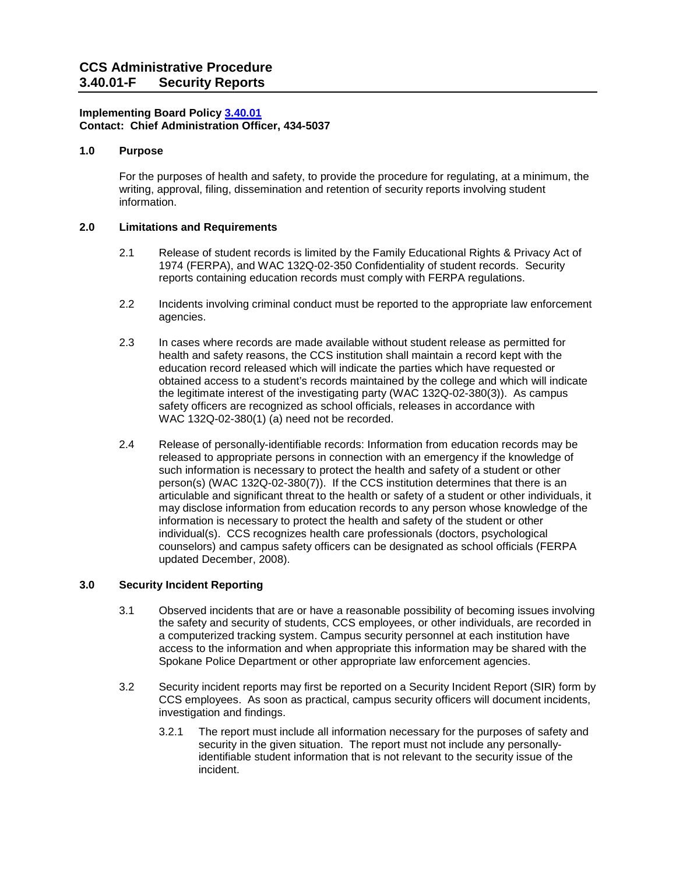## **Implementing Board Policy [3.40.01](https://ccs.spokane.edu/About-Us/Leadership/Board-of-Trustees/Policies-Procedures/Chapter3#AccWE2-4)  Contact: Chief Administration Officer, 434-5037**

## **1.0 Purpose**

For the purposes of health and safety, to provide the procedure for regulating, at a minimum, the writing, approval, filing, dissemination and retention of security reports involving student information.

# **2.0 Limitations and Requirements**

- 2.1 Belease of student records is limited by the Family Educational Rights & Privacy Act of 1974 (FERPA), and WAC 132Q-02-350 Confidentiality of student records. Security reports containing education records must comply with FERPA regulations.
- 2.2 Incidents involving criminal conduct must be reported to the appropriate law enforcement agencies.
- the legitimate interest of the investigating party (WAC 132Q-02-380(3)). As campus WAC 132Q-02-380(1) (a) need not be recorded. 2.3 In cases where records are made available without student release as permitted for health and safety reasons, the CCS institution shall maintain a record kept with the education record released which will indicate the parties which have requested or obtained access to a student's records maintained by the college and which will indicate safety officers are recognized as school officials, releases in accordance with
- information is necessary to protect the health and safety of the student or other 2.4 Release of personally-identifiable records: Information from education records may be released to appropriate persons in connection with an emergency if the knowledge of such information is necessary to protect the health and safety of a student or other person(s) (WAC 132Q-02-380(7)). If the CCS institution determines that there is an articulable and significant threat to the health or safety of a student or other individuals, it may disclose information from education records to any person whose knowledge of the individual(s). CCS recognizes health care professionals (doctors, psychological counselors) and campus safety officers can be designated as school officials (FERPA updated December, 2008).

### **3.0 Security Incident Reporting**

- 3.1 Observed incidents that are or have a reasonable possibility of becoming issues involving the safety and security of students, CCS employees, or other individuals, are recorded in a computerized tracking system. Campus security personnel at each institution have access to the information and when appropriate this information may be shared with the Spokane Police Department or other appropriate law enforcement agencies.
- 3.2 Security incident reports may first be reported on a Security Incident Report (SIR) form by CCS employees. As soon as practical, campus security officers will document incidents, investigation and findings.
	- 3.2.1 The report must include all information necessary for the purposes of safety and security in the given situation. The report must not include any personallyidentifiable student information that is not relevant to the security issue of the incident.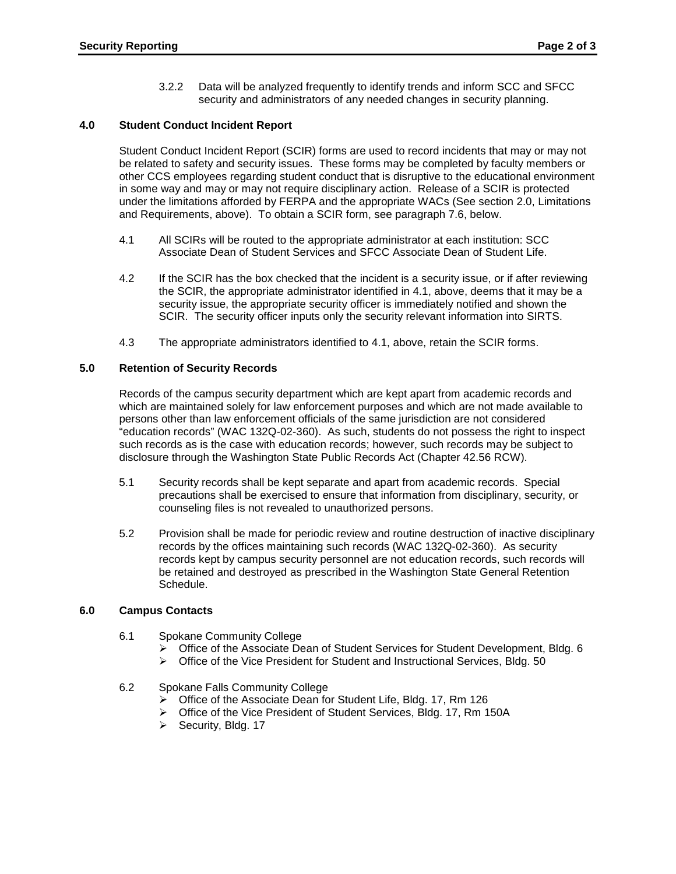security and administrators of any needed changes in security planning. 3.2.2 Data will be analyzed frequently to identify trends and inform SCC and SFCC

## **4.0 Student Conduct Incident Report**

 Student Conduct Incident Report (SCIR) forms are used to record incidents that may or may not under the limitations afforded by FERPA and the appropriate WACs (See section 2.0, Limitations and Requirements, above). To obtain a SCIR form, see paragraph 7.6, below. be related to safety and security issues. These forms may be completed by faculty members or other CCS employees regarding student conduct that is disruptive to the educational environment in some way and may or may not require disciplinary action. Release of a SCIR is protected

- Associate Dean of Student Services and SFCC Associate Dean of Student Life. 4.1 All SCIRs will be routed to the appropriate administrator at each institution: SCC
- Associate Dean of Student Services and SFCC Associate Dean of Student Life.<br>4.2 If the SCIR has the box checked that the incident is a security issue, or if after reviewing SCIR. The security officer inputs only the security relevant information into SIRTS. the SCIR, the appropriate administrator identified in 4.1, above, deems that it may be a security issue, the appropriate security officer is immediately notified and shown the
- 4.3 The appropriate administrators identified to 4.1, above, retain the SCIR forms.

# **5.0 Retention of Security Records**

 which are maintained solely for law enforcement purposes and which are not made available to "education records" (WAC 132Q-02-360). As such, students do not possess the right to inspect disclosure through the Washington State Public Records Act (Chapter 42.56 RCW). Records of the campus security department which are kept apart from academic records and persons other than law enforcement officials of the same jurisdiction are not considered such records as is the case with education records; however, such records may be subject to

- 5.1 Security records shall be kept separate and apart from academic records. Special precautions shall be exercised to ensure that information from disciplinary, security, or counseling files is not revealed to unauthorized persons.
- records by the offices maintaining such records (WAC 132Q-02-360). As security records kept by campus security personnel are not education records, such records will 5.2 Provision shall be made for periodic review and routine destruction of inactive disciplinary be retained and destroyed as prescribed in the Washington State General Retention Schedule.

### **6.0 Campus Contacts**

- 6.1 Spokane Community College
	- Office of the Associate Dean of Student Services for Student Development, Bldg. 6
	- $\triangleright$  Office of the Vice President for Student and Instructional Services, Bldg. 50

### 6.2 Spokane Falls Community College

- Office of the Associate Dean for Student Life, Bldg. 17, Rm 126
- Office of the Vice President of Student Services, Bldg. 17, Rm 150A
- $\triangleright$  Security, Bldg. 17